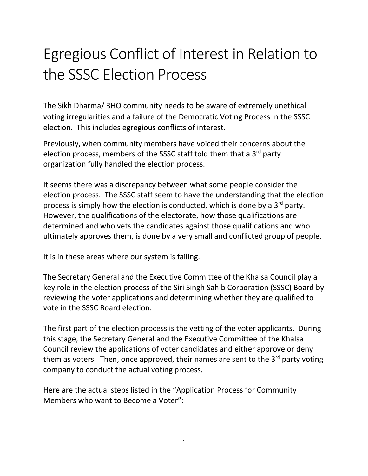# Egregious Conflict of Interest in Relation to the SSSC Election Process

The Sikh Dharma/ 3HO community needs to be aware of extremely unethical voting irregularities and a failure of the Democratic Voting Process in the SSSC election. This includes egregious conflicts of interest.

Previously, when community members have voiced their concerns about the election process, members of the SSSC staff told them that a 3<sup>rd</sup> party organization fully handled the election process.

It seems there was a discrepancy between what some people consider the election process. The SSSC staff seem to have the understanding that the election process is simply how the election is conducted, which is done by a 3<sup>rd</sup> party. However, the qualifications of the electorate, how those qualifications are determined and who vets the candidates against those qualifications and who ultimately approves them, is done by a very small and conflicted group of people.

It is in these areas where our system is failing.

The Secretary General and the Executive Committee of the Khalsa Council play a key role in the election process of the Siri Singh Sahib Corporation (SSSC) Board by reviewing the voter applications and determining whether they are qualified to vote in the SSSC Board election.

The first part of the election process is the vetting of the voter applicants. During this stage, the Secretary General and the Executive Committee of the Khalsa Council review the applications of voter candidates and either approve or deny them as voters. Then, once approved, their names are sent to the  $3<sup>rd</sup>$  party voting company to conduct the actual voting process.

Here are the actual steps listed in the "Application Process for Community Members who want to Become a Voter":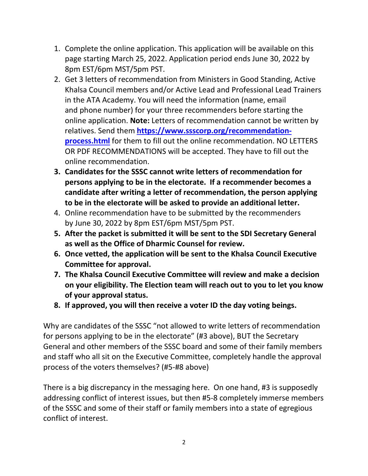- 1. Complete the online application. This application will be available on this page starting March 25, 2022. Application period ends June 30, 2022 by 8pm EST/6pm MST/5pm PST.
- 2. Get 3 letters of recommendation from Ministers in Good Standing, Active Khalsa Council members and/or Active Lead and Professional Lead Trainers in the ATA Academy. You will need the information (name, email and phone number) for your three recommenders before starting the online application. **Note:** Letters of recommendation cannot be written by relatives. Send them **[https://www.ssscorp.org/recommendation](https://www.ssscorp.org/recommendation-process.html)[process.html](https://www.ssscorp.org/recommendation-process.html)** for them to fill out the online recommendation. NO LETTERS OR PDF RECOMMENDATIONS will be accepted. They have to fill out the online recommendation.
- **3. Candidates for the SSSC cannot write letters of recommendation for persons applying to be in the electorate. If a recommender becomes a candidate after writing a letter of recommendation, the person applying to be in the electorate will be asked to provide an additional letter.**
- 4. Online recommendation have to be submitted by the recommenders by June 30, 2022 by 8pm EST/6pm MST/5pm PST.
- **5. After the packet is submitted it will be sent to the SDI Secretary General as well as the Office of Dharmic Counsel for review.**
- **6. Once vetted, the application will be sent to the Khalsa Council Executive Committee for approval.**
- **7. The Khalsa Council Executive Committee will review and make a decision on your eligibility. The Election team will reach out to you to let you know of your approval status.**
- **8. If approved, you will then receive a voter ID the day voting beings.**

Why are candidates of the SSSC "not allowed to write letters of recommendation for persons applying to be in the electorate" (#3 above), BUT the Secretary General and other members of the SSSC board and some of their family members and staff who all sit on the Executive Committee, completely handle the approval process of the voters themselves? (#5-#8 above)

There is a big discrepancy in the messaging here. On one hand, #3 is supposedly addressing conflict of interest issues, but then #5-8 completely immerse members of the SSSC and some of their staff or family members into a state of egregious conflict of interest.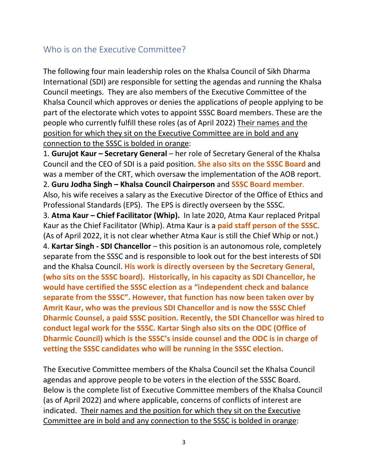# Who is on the Executive Committee?

The following four main leadership roles on the Khalsa Council of Sikh Dharma International (SDI) are responsible for setting the agendas and running the Khalsa Council meetings. They are also members of the Executive Committee of the Khalsa Council which approves or denies the applications of people applying to be part of the electorate which votes to appoint SSSC Board members. These are the people who currently fulfill these roles (as of April 2022) Their names and the position for which they sit on the Executive Committee are in bold and any connection to the SSSC is bolded in orange:

1. **Gurujot Kaur – Secretary General** – her role of Secretary General of the Khalsa Council and the CEO of SDI is a paid position. **She also sits on the SSSC Board** and was a member of the CRT, which oversaw the implementation of the AOB report.

2. **Guru Jodha Singh – Khalsa Council Chairperson** and **SSSC Board member**. Also, his wife receives a salary as the Executive Director of the Office of Ethics and Professional Standards (EPS). The EPS is directly overseen by the SSSC.

3. **Atma Kaur – Chief Facilitator (Whip).** In late 2020, Atma Kaur replaced Pritpal Kaur as the Chief Facilitator (Whip). Atma Kaur is a **paid staff person of the SSSC**. (As of April 2022, it is not clear whether Atma Kaur is still the Chief Whip or not.) 4. **Kartar Singh - SDI Chancellor** – this position is an autonomous role, completely separate from the SSSC and is responsible to look out for the best interests of SDI and the Khalsa Council. **His work is directly overseen by the Secretary General, (who sits on the SSSC board). Historically, in his capacity as SDI Chancellor, he would have certified the SSSC election as a "independent check and balance separate from the SSSC". However, that function has now been taken over by Amrit Kaur, who was the previous SDI Chancellor and is now the SSSC Chief Dharmic Counsel, a paid SSSC position. Recently, the SDI Chancellor was hired to conduct legal work for the SSSC. Kartar Singh also sits on the ODC (Office of Dharmic Council) which is the SSSC's inside counsel and the ODC is in charge of vetting the SSSC candidates who will be running in the SSSC election.**

The Executive Committee members of the Khalsa Council set the Khalsa Council agendas and approve people to be voters in the election of the SSSC Board. Below is the complete list of Executive Committee members of the Khalsa Council (as of April 2022) and where applicable, concerns of conflicts of interest are indicated. Their names and the position for which they sit on the Executive Committee are in bold and any connection to the SSSC is bolded in orange: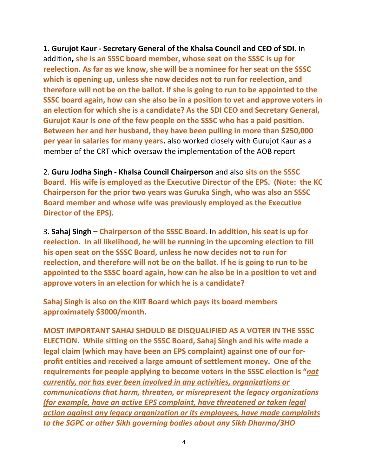**1. Gurujot Kaur - Secretary General of the Khalsa Council and CEO of SDI.** In addition**, she is an SSSC board member, whose seat on the SSSC is up for reelection. As far as we know, she will be a nominee for her seat on the SSSC which is opening up, unless she now decides not to run for reelection, and therefore will not be on the ballot. If she is going to run to be appointed to the SSSC board again, how can she also be in a position to vet and approve voters in an election for which she is a candidate? As the SDI CEO and Secretary General, Gurujot Kaur is one of the few people on the SSSC who has a paid position. Between her and her husband, they have been pulling in more than \$250,000 per year in salaries for many years.** also worked closely with Gurujot Kaur as a member of the CRT which oversaw the implementation of the AOB report

2. **Guru Jodha Singh - Khalsa Council Chairperson** and also **sits on the SSSC Board**. **His wife is employed as the Executive Director of the EPS. (Note: the KC Chairperson for the prior two years was Guruka Singh, who was also an SSSC Board member and whose wife was previously employed as the Executive Director of the EPS).**

3. **Sahaj Singh – Chairperson of the SSSC Board.** I**n addition, his seat is up for reelection. In all likelihood, he will be running in the upcoming election to fill his open seat on the SSSC Board, unless he now decides not to run for reelection, and therefore will not be on the ballot. If he is going to run to be appointed to the SSSC board again, how can he also be in a position to vet and approve voters in an election for which he is a candidate?**

**Sahaj Singh is also on the KIIT Board which pays its board members approximately \$3000/month.** 

**MOST IMPORTANT SAHAJ SHOULD BE DISQUALIFIED AS A VOTER IN THE SSSC ELECTION. While sitting on the SSSC Board, Sahaj Singh and his wife made a legal claim (which may have been an EPS complaint) against one of our forprofit entities and received a large amount of settlement money. One of the requirements for people applying to become voters in the SSSC election is "***not currently, nor has ever been involved in any activities, organizations or communications that harm, threaten, or misrepresent the legacy organizations (for example, have an active EPS complaint, have threatened or taken legal action against any legacy organization or its employees, have made complaints to the SGPC or other Sikh governing bodies about any Sikh Dharma/3HO*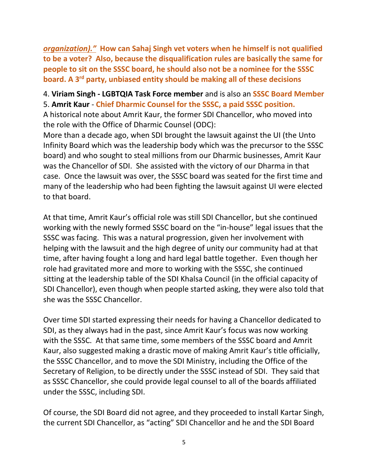*organization)."* **How can Sahaj Singh vet voters when he himself is not qualified to be a voter? Also, because the disqualification rules are basically the same for people to sit on the SSSC board, he should also not be a nominee for the SSSC board. A 3rd party, unbiased entity should be making all of these decisions**

4. **Viriam Singh - LGBTQIA Task Force member** and is also an **SSSC Board Member** 5. **Amrit Kaur** - **Chief Dharmic Counsel for the SSSC, a paid SSSC position.**

A historical note about Amrit Kaur, the former SDI Chancellor, who moved into the role with the Office of Dharmic Counsel (ODC):

More than a decade ago, when SDI brought the lawsuit against the UI (the Unto Infinity Board which was the leadership body which was the precursor to the SSSC board) and who sought to steal millions from our Dharmic businesses, Amrit Kaur was the Chancellor of SDI. She assisted with the victory of our Dharma in that case. Once the lawsuit was over, the SSSC board was seated for the first time and many of the leadership who had been fighting the lawsuit against UI were elected to that board.

At that time, Amrit Kaur's official role was still SDI Chancellor, but she continued working with the newly formed SSSC board on the "in-house" legal issues that the SSSC was facing. This was a natural progression, given her involvement with helping with the lawsuit and the high degree of unity our community had at that time, after having fought a long and hard legal battle together. Even though her role had gravitated more and more to working with the SSSC, she continued sitting at the leadership table of the SDI Khalsa Council (in the official capacity of SDI Chancellor), even though when people started asking, they were also told that she was the SSSC Chancellor.

Over time SDI started expressing their needs for having a Chancellor dedicated to SDI, as they always had in the past, since Amrit Kaur's focus was now working with the SSSC. At that same time, some members of the SSSC board and Amrit Kaur, also suggested making a drastic move of making Amrit Kaur's title officially, the SSSC Chancellor, and to move the SDI Ministry, including the Office of the Secretary of Religion, to be directly under the SSSC instead of SDI. They said that as SSSC Chancellor, she could provide legal counsel to all of the boards affiliated under the SSSC, including SDI.

Of course, the SDI Board did not agree, and they proceeded to install Kartar Singh, the current SDI Chancellor, as "acting" SDI Chancellor and he and the SDI Board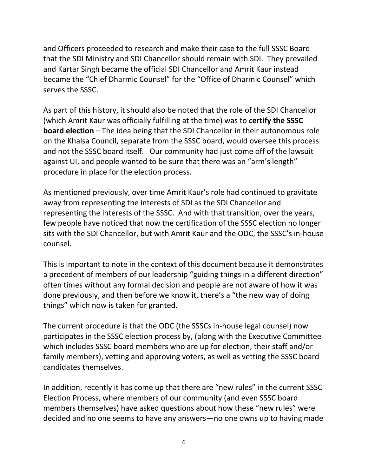and Officers proceeded to research and make their case to the full SSSC Board that the SDI Ministry and SDI Chancellor should remain with SDI. They prevailed and Kartar Singh became the official SDI Chancellor and Amrit Kaur instead became the "Chief Dharmic Counsel" for the "Office of Dharmic Counsel" which serves the SSSC.

As part of this history, it should also be noted that the role of the SDI Chancellor (which Amrit Kaur was officially fulfilling at the time) was to **certify the SSSC board election** – The idea being that the SDI Chancellor in their autonomous role on the Khalsa Council, separate from the SSSC board, would oversee this process and not the SSSC board itself. Our community had just come off of the lawsuit against UI, and people wanted to be sure that there was an "arm's length" procedure in place for the election process.

As mentioned previously, over time Amrit Kaur's role had continued to gravitate away from representing the interests of SDI as the SDI Chancellor and representing the interests of the SSSC. And with that transition, over the years, few people have noticed that now the certification of the SSSC election no longer sits with the SDI Chancellor, but with Amrit Kaur and the ODC, the SSSC's in-house counsel.

This is important to note in the context of this document because it demonstrates a precedent of members of our leadership "guiding things in a different direction" often times without any formal decision and people are not aware of how it was done previously, and then before we know it, there's a "the new way of doing things" which now is taken for granted.

The current procedure is that the ODC (the SSSCs in-house legal counsel) now participates in the SSSC election process by, (along with the Executive Committee which includes SSSC board members who are up for election, their staff and/or family members), vetting and approving voters, as well as vetting the SSSC board candidates themselves.

In addition, recently it has come up that there are "new rules" in the current SSSC Election Process, where members of our community (and even SSSC board members themselves) have asked questions about how these "new rules" were decided and no one seems to have any answers—no one owns up to having made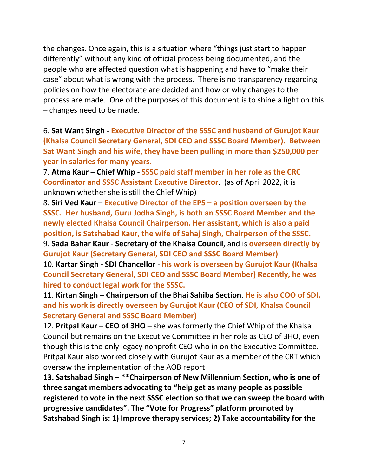the changes. Once again, this is a situation where "things just start to happen differently" without any kind of official process being documented, and the people who are affected question what is happening and have to "make their case" about what is wrong with the process. There is no transparency regarding policies on how the electorate are decided and how or why changes to the process are made. One of the purposes of this document is to shine a light on this – changes need to be made.

6. **Sat Want Singh - Executive Director of the SSSC and husband of Gurujot Kaur (Khalsa Council Secretary General, SDI CEO and SSSC Board Member). Between Sat Want Singh and his wife, they have been pulling in more than \$250,000 per year in salaries for many years.** 

7. **Atma Kaur – Chief Whip** - **SSSC paid staff member in her role as the CRC Coordinator and SSSC Assistant Executive Director**. (as of April 2022, it is unknown whether she is still the Chief Whip)

8. **Siri Ved Kaur** – **Executive Director of the EPS – a position overseen by the SSSC. Her husband, Guru Jodha Singh, is both an SSSC Board Member and the newly elected Khalsa Council Chairperson. Her assistant, which is also a paid position, is Satshabad Kaur, the wife of Sahaj Singh, Chairperson of the SSSC.** 9. **Sada Bahar Kaur** - **Secretary of the Khalsa Council**, and is **overseen directly by Gurujot Kaur (Secretary General, SDI CEO and SSSC Board Member)** 

10. **Kartar Singh - SDI Chancellor** - **his work is overseen by Gurujot Kaur (Khalsa Council Secretary General, SDI CEO and SSSC Board Member) Recently, he was hired to conduct legal work for the SSSC.**

11. **Kirtan Singh – Chairperson of the Bhai Sahiba Section**. **He is also COO of SDI, and his work is directly overseen by Gurujot Kaur (CEO of SDI, Khalsa Council Secretary General and SSSC Board Member)** 

12. **Pritpal Kaur** – **CEO of 3HO** – she was formerly the Chief Whip of the Khalsa Council but remains on the Executive Committee in her role as CEO of 3HO, even though this is the only legacy nonprofit CEO who in on the Executive Committee. Pritpal Kaur also worked closely with Gurujot Kaur as a member of the CRT which oversaw the implementation of the AOB report

**13. Satshabad Singh – \*\*Chairperson of New Millennium Section, who is one of three sangat members advocating to "help get as many people as possible registered to vote in the next SSSC election so that we can sweep the board with progressive candidates". The "Vote for Progress" platform promoted by Satshabad Singh is: 1) Improve therapy services; 2) Take accountability for the**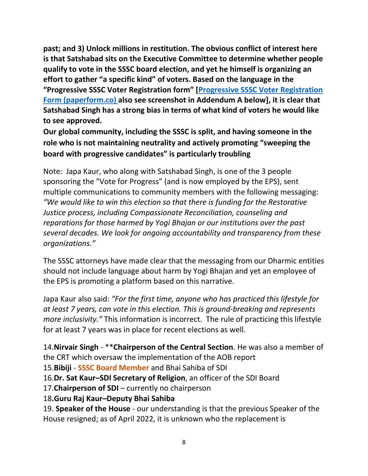**past; and 3) Unlock millions in restitution. The obvious conflict of interest here is that Satshabad sits on the Executive Committee to determine whether people qualify to vote in the SSSC board election, and yet he himself is organizing an effort to gather "a specific kind" of voters. Based on the language in the "Progressive SSSC Voter Registration form" [Progressive SSSC Voter Registration Form (paperform.co) also see screenshot in Addendum A below], it is clear that Satshabad Singh has a strong bias in terms of what kind of voters he would like to see approved.**

**Our global community, including the SSSC is split, and having someone in the role who is not maintaining neutrality and actively promoting "sweeping the board with progressive candidates" is particularly troubling**

Note: Japa Kaur, who along with Satshabad Singh, is one of the 3 people sponsoring the "Vote for Progress" (and is now employed by the EPS), sent multiple communications to community members with the following messaging: *"We would like to win this election so that there is funding for the Restorative Justice process, including Compassionate Reconciliation, counseling and reparations for those harmed by Yogi Bhajan or our institutions over the past several decades. We look for ongoing accountability and transparency from these organizations."*

The SSSC attorneys have made clear that the messaging from our Dharmic entities should not include language about harm by Yogi Bhajan and yet an employee of the EPS is promoting a platform based on this narrative.

Japa Kaur also said: *"For the first time, anyone who has practiced this lifestyle for at least 7 years, can vote in this election. This is ground-breaking and represents more inclusivity."* This information is incorrect. The rule of practicing this lifestyle for at least 7 years was in place for recent elections as well.

14.**Nirvair Singh** - \*\***Chairperson of the Central Section**. He was also a member of the CRT which oversaw the implementation of the AOB report

15.**Bibiji** - **SSSC Board Member** and Bhai Sahiba of SDI

16.**Dr. Sat Kaur–SDI Secretary of Religion**, an officer of the SDI Board

17.**Chairperson of SDI** – currently no chairperson

18**.Guru Raj Kaur–Deputy Bhai Sahiba**

19. **Speaker of the House** - our understanding is that the previous Speaker of the House resigned; as of April 2022, it is unknown who the replacement is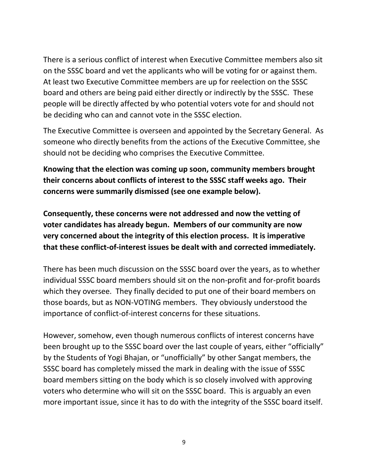There is a serious conflict of interest when Executive Committee members also sit on the SSSC board and vet the applicants who will be voting for or against them. At least two Executive Committee members are up for reelection on the SSSC board and others are being paid either directly or indirectly by the SSSC. These people will be directly affected by who potential voters vote for and should not be deciding who can and cannot vote in the SSSC election.

The Executive Committee is overseen and appointed by the Secretary General. As someone who directly benefits from the actions of the Executive Committee, she should not be deciding who comprises the Executive Committee.

**Knowing that the election was coming up soon, community members brought their concerns about conflicts of interest to the SSSC staff weeks ago. Their concerns were summarily dismissed (see one example below).** 

**Consequently, these concerns were not addressed and now the vetting of voter candidates has already begun. Members of our community are now very concerned about the integrity of this election process. It is imperative that these conflict-of-interest issues be dealt with and corrected immediately.**

There has been much discussion on the SSSC board over the years, as to whether individual SSSC board members should sit on the non-profit and for-profit boards which they oversee. They finally decided to put one of their board members on those boards, but as NON-VOTING members. They obviously understood the importance of conflict-of-interest concerns for these situations.

However, somehow, even though numerous conflicts of interest concerns have been brought up to the SSSC board over the last couple of years, either "officially" by the Students of Yogi Bhajan, or "unofficially" by other Sangat members, the SSSC board has completely missed the mark in dealing with the issue of SSSC board members sitting on the body which is so closely involved with approving voters who determine who will sit on the SSSC board. This is arguably an even more important issue, since it has to do with the integrity of the SSSC board itself.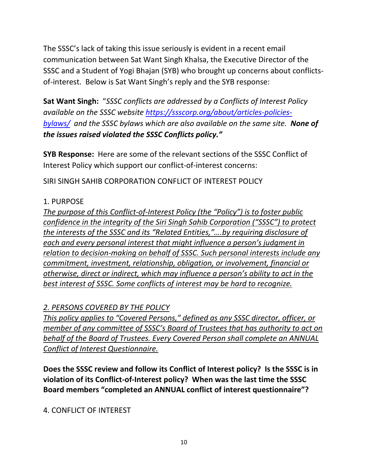The SSSC's lack of taking this issue seriously is evident in a recent email communication between Sat Want Singh Khalsa, the Executive Director of the SSSC and a Student of Yogi Bhajan (SYB) who brought up concerns about conflictsof-interest. Below is Sat Want Singh's reply and the SYB response:

**Sat Want Singh:** "*SSSC conflicts are addressed by a Conflicts of Interest Policy available on the SSSC website [https://ssscorp.org/about/articles-policies](https://ssscorp.org/about/articles-policies-bylaws/)[bylaws/](https://ssscorp.org/about/articles-policies-bylaws/) and the SSSC bylaws which are also available on the same site. None of the issues raised violated the SSSC Conflicts policy."*

**SYB Response:** Here are some of the relevant sections of the SSSC Conflict of Interest Policy which support our conflict-of-interest concerns:

SIRI SINGH SAHIB CORPORATION CONFLICT OF INTEREST POLICY

#### 1. PURPOSE

*The purpose of this Conflict-of-Interest Policy (the "Policy") is to foster public confidence in the integrity of the Siri Singh Sahib Corporation ("SSSC") to protect the interests of the SSSC and its "Related Entities,"….by requiring disclosure of each and every personal interest that might influence a person's judgment in relation to decision-making on behalf of SSSC. Such personal interests include any commitment, investment, relationship, obligation, or involvement, financial or otherwise, direct or indirect, which may influence a person's ability to act in the best interest of SSSC. Some conflicts of interest may be hard to recognize.*

*2. PERSONS COVERED BY THE POLICY*

*This policy applies to "Covered Persons," defined as any SSSC director, officer, or member of any committee of SSSC's Board of Trustees that has authority to act on behalf of the Board of Trustees. Every Covered Person shall complete an ANNUAL Conflict of Interest Questionnaire.* 

**Does the SSSC review and follow its Conflict of Interest policy? Is the SSSC is in violation of its Conflict-of-Interest policy? When was the last time the SSSC Board members "completed an ANNUAL conflict of interest questionnaire"?**

4. CONFLICT OF INTEREST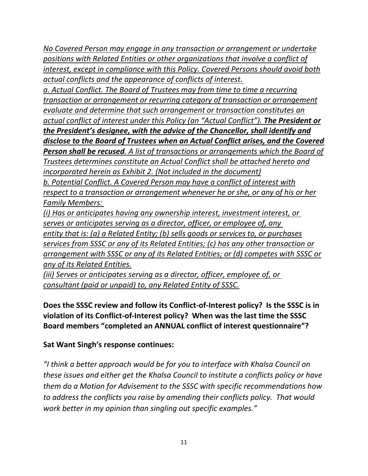*No Covered Person may engage in any transaction or arrangement or undertake positions with Related Entities or other organizations that involve a conflict of interest, except in compliance with this Policy. Covered Persons should avoid both actual conflicts and the appearance of conflicts of interest.*

*a. Actual Conflict. The Board of Trustees may from time to time a recurring transaction or arrangement or recurring category of transaction or arrangement evaluate and determine that such arrangement or transaction constitutes an actual conflict of interest under this Policy (an "Actual Conflict"). The President or the President's designee, with the advice of the Chancellor, shall identify and disclose to the Board of Trustees when an Actual Conflict arises, and the Covered Person shall be recused. A list of transactions or arrangements which the Board of Trustees determines constitute an Actual Conflict shall be attached hereto and incorporated herein as Exhibit 2. (Not included in the document) b. Potential Conflict. A Covered Person may have a conflict of interest with respect to a transaction or arrangement whenever he or she, or any of his or her Family Members:*

*(i) Has or anticipates having any ownership interest, investment interest, or serves or anticipates serving as a director, officer, or employee of, any entity that is: (a) a Related Entity; (b) sells goods or services to, or purchases services from SSSC or any of its Related Entities; (c) has any other transaction or arrangement with SSSC or any of its Related Entities; or (d) competes with SSSC or any of its Related Entities.*

*(iii) Serves or anticipates serving as a director, officer, employee of, or consultant (paid or unpaid) to, any Related Entity of SSSC.*

**Does the SSSC review and follow its Conflict-of-Interest policy? Is the SSSC is in violation of its Conflict-of-Interest policy? When was the last time the SSSC Board members "completed an ANNUAL conflict of interest questionnaire"?** 

#### **Sat Want Singh's response continues:**

*"I think a better approach would be for you to interface with Khalsa Council on these issues and either get the Khalsa Council to institute a conflicts policy or have them do a Motion for Advisement to the SSSC with specific recommendations how to address the conflicts you raise by amending their conflicts policy. That would work better in my opinion than singling out specific examples."*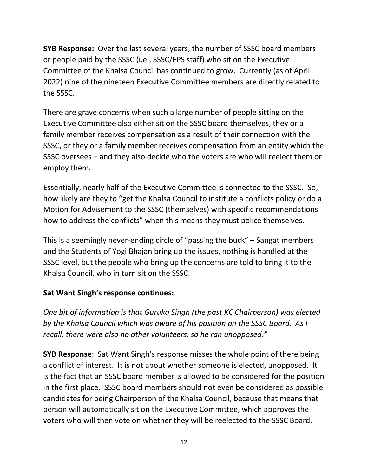**SYB Response:** Over the last several years, the number of SSSC board members or people paid by the SSSC (i.e., SSSC/EPS staff) who sit on the Executive Committee of the Khalsa Council has continued to grow. Currently (as of April 2022) nine of the nineteen Executive Committee members are directly related to the SSSC.

There are grave concerns when such a large number of people sitting on the Executive Committee also either sit on the SSSC board themselves, they or a family member receives compensation as a result of their connection with the SSSC, or they or a family member receives compensation from an entity which the SSSC oversees – and they also decide who the voters are who will reelect them or employ them.

Essentially, nearly half of the Executive Committee is connected to the SSSC. So, how likely are they to "get the Khalsa Council to institute a conflicts policy or do a Motion for Advisement to the SSSC (themselves) with specific recommendations how to address the conflicts" when this means they must police themselves.

This is a seemingly never-ending circle of "passing the buck" – Sangat members and the Students of Yogi Bhajan bring up the issues, nothing is handled at the SSSC level, but the people who bring up the concerns are told to bring it to the Khalsa Council, who in turn sit on the SSSC.

#### **Sat Want Singh's response continues:**

*One bit of information is that Guruka Singh (the past KC Chairperson) was elected by the Khalsa Council which was aware of his position on the SSSC Board. As I recall, there were also no other volunteers, so he ran unopposed."*

**SYB Response**: Sat Want Singh's response misses the whole point of there being a conflict of interest. It is not about whether someone is elected, unopposed. It is the fact that an SSSC board member is allowed to be considered for the position in the first place. SSSC board members should not even be considered as possible candidates for being Chairperson of the Khalsa Council, because that means that person will automatically sit on the Executive Committee, which approves the voters who will then vote on whether they will be reelected to the SSSC Board.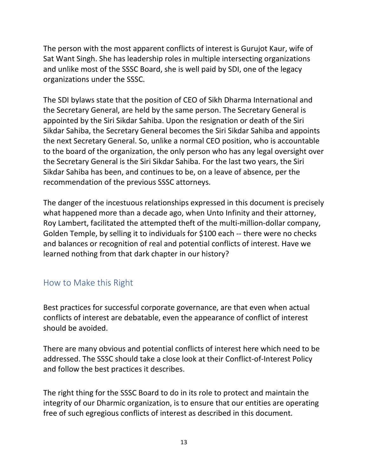The person with the most apparent conflicts of interest is Gurujot Kaur, wife of Sat Want Singh. She has leadership roles in multiple intersecting organizations and unlike most of the SSSC Board, she is well paid by SDI, one of the legacy organizations under the SSSC.

The SDI bylaws state that the position of CEO of Sikh Dharma International and the Secretary General, are held by the same person. The Secretary General is appointed by the Siri Sikdar Sahiba. Upon the resignation or death of the Siri Sikdar Sahiba, the Secretary General becomes the Siri Sikdar Sahiba and appoints the next Secretary General. So, unlike a normal CEO position, who is accountable to the board of the organization, the only person who has any legal oversight over the Secretary General is the Siri Sikdar Sahiba. For the last two years, the Siri Sikdar Sahiba has been, and continues to be, on a leave of absence, per the recommendation of the previous SSSC attorneys.

The danger of the incestuous relationships expressed in this document is precisely what happened more than a decade ago, when Unto Infinity and their attorney, Roy Lambert, facilitated the attempted theft of the multi-million-dollar company, Golden Temple, by selling it to individuals for \$100 each -- there were no checks and balances or recognition of real and potential conflicts of interest. Have we learned nothing from that dark chapter in our history?

### How to Make this Right

Best practices for successful corporate governance, are that even when actual conflicts of interest are debatable, even the appearance of conflict of interest should be avoided.

There are many obvious and potential conflicts of interest here which need to be addressed. The SSSC should take a close look at their Conflict-of-Interest Policy and follow the best practices it describes.

The right thing for the SSSC Board to do in its role to protect and maintain the integrity of our Dharmic organization, is to ensure that our entities are operating free of such egregious conflicts of interest as described in this document.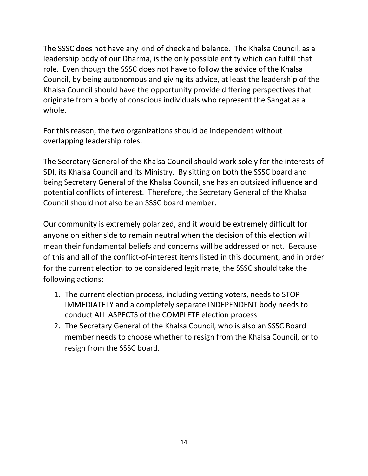The SSSC does not have any kind of check and balance. The Khalsa Council, as a leadership body of our Dharma, is the only possible entity which can fulfill that role. Even though the SSSC does not have to follow the advice of the Khalsa Council, by being autonomous and giving its advice, at least the leadership of the Khalsa Council should have the opportunity provide differing perspectives that originate from a body of conscious individuals who represent the Sangat as a whole.

For this reason, the two organizations should be independent without overlapping leadership roles.

The Secretary General of the Khalsa Council should work solely for the interests of SDI, its Khalsa Council and its Ministry. By sitting on both the SSSC board and being Secretary General of the Khalsa Council, she has an outsized influence and potential conflicts of interest. Therefore, the Secretary General of the Khalsa Council should not also be an SSSC board member.

Our community is extremely polarized, and it would be extremely difficult for anyone on either side to remain neutral when the decision of this election will mean their fundamental beliefs and concerns will be addressed or not. Because of this and all of the conflict-of-interest items listed in this document, and in order for the current election to be considered legitimate, the SSSC should take the following actions:

- 1. The current election process, including vetting voters, needs to STOP IMMEDIATELY and a completely separate INDEPENDENT body needs to conduct ALL ASPECTS of the COMPLETE election process
- 2. The Secretary General of the Khalsa Council, who is also an SSSC Board member needs to choose whether to resign from the Khalsa Council, or to resign from the SSSC board.